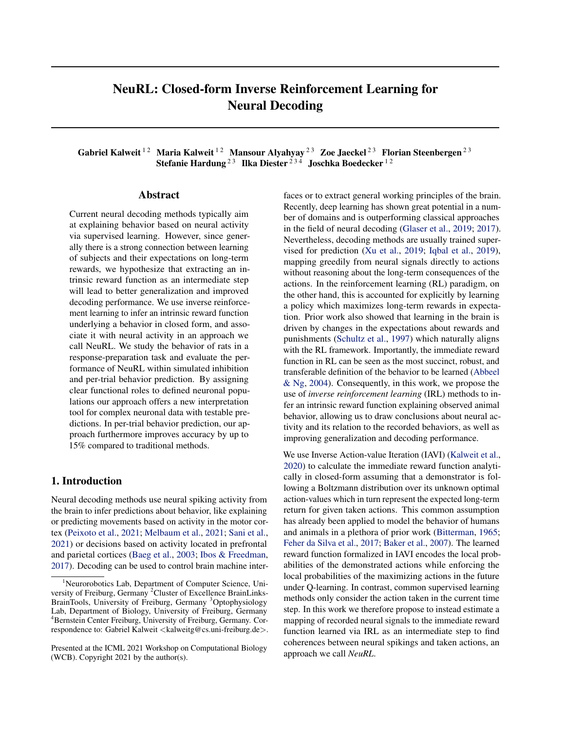# NeuRL: Closed-form Inverse Reinforcement Learning for Neural Decoding

Gabriel Kalweit<sup>12</sup> Maria Kalweit<sup>12</sup> Mansour Alyahyay<sup>23</sup> Zoe Jaeckel<sup>23</sup> Florian Steenbergen<sup>23</sup> Stefanie Hardung  $2^3$  Ilka Diester  $2^{34}$  Joschka Boedecker  $12$ 

#### Abstract

Current neural decoding methods typically aim at explaining behavior based on neural activity via supervised learning. However, since generally there is a strong connection between learning of subjects and their expectations on long-term rewards, we hypothesize that extracting an intrinsic reward function as an intermediate step will lead to better generalization and improved decoding performance. We use inverse reinforcement learning to infer an intrinsic reward function underlying a behavior in closed form, and associate it with neural activity in an approach we call NeuRL. We study the behavior of rats in a response-preparation task and evaluate the performance of NeuRL within simulated inhibition and per-trial behavior prediction. By assigning clear functional roles to defined neuronal populations our approach offers a new interpretation tool for complex neuronal data with testable predictions. In per-trial behavior prediction, our approach furthermore improves accuracy by up to 15% compared to traditional methods.

### 1. Introduction

Neural decoding methods use neural spiking activity from the brain to infer predictions about behavior, like explaining or predicting movements based on activity in the motor cortex [\(Peixoto et al.,](#page-4-0) [2021;](#page-4-0) [Melbaum et al.,](#page-4-0) [2021;](#page-4-0) [Sani et al.,](#page-4-0) [2021\)](#page-4-0) or decisions based on activity located in prefrontal and parietal cortices [\(Baeg et al.,](#page-4-0) [2003;](#page-4-0) [Ibos & Freedman,](#page-4-0) [2017\)](#page-4-0). Decoding can be used to control brain machine interfaces or to extract general working principles of the brain. Recently, deep learning has shown great potential in a number of domains and is outperforming classical approaches in the field of neural decoding [\(Glaser et al.,](#page-4-0) [2019;](#page-4-0) [2017\)](#page-4-0). Nevertheless, decoding methods are usually trained supervised for prediction [\(Xu et al.,](#page-4-0) [2019;](#page-4-0) [Iqbal et al.,](#page-4-0) [2019\)](#page-4-0), mapping greedily from neural signals directly to actions without reasoning about the long-term consequences of the actions. In the reinforcement learning (RL) paradigm, on the other hand, this is accounted for explicitly by learning a policy which maximizes long-term rewards in expectation. Prior work also showed that learning in the brain is driven by changes in the expectations about rewards and punishments [\(Schultz et al.,](#page-4-0) [1997\)](#page-4-0) which naturally aligns with the RL framework. Importantly, the immediate reward function in RL can be seen as the most succinct, robust, and transferable definition of the behavior to be learned [\(Abbeel](#page-4-0) [& Ng,](#page-4-0) [2004\)](#page-4-0). Consequently, in this work, we propose the use of *inverse reinforcement learning* (IRL) methods to infer an intrinsic reward function explaining observed animal behavior, allowing us to draw conclusions about neural activity and its relation to the recorded behaviors, as well as improving generalization and decoding performance.

We use Inverse Action-value Iteration (IAVI) [\(Kalweit et al.,](#page-4-0) [2020\)](#page-4-0) to calculate the immediate reward function analytically in closed-form assuming that a demonstrator is following a Boltzmann distribution over its unknown optimal action-values which in turn represent the expected long-term return for given taken actions. This common assumption has already been applied to model the behavior of humans and animals in a plethora of prior work [\(Bitterman,](#page-4-0) [1965;](#page-4-0) [Feher da Silva et al.,](#page-4-0) [2017;](#page-4-0) [Baker et al.,](#page-4-0) [2007\)](#page-4-0). The learned reward function formalized in IAVI encodes the local probabilities of the demonstrated actions while enforcing the local probabilities of the maximizing actions in the future under Q-learning. In contrast, common supervised learning methods only consider the action taken in the current time step. In this work we therefore propose to instead estimate a mapping of recorded neural signals to the immediate reward function learned via IRL as an intermediate step to find coherences between neural spikings and taken actions, an approach we call *NeuRL*.

<sup>&</sup>lt;sup>1</sup>Neurorobotics Lab, Department of Computer Science, University of Freiburg, Germany<sup>2</sup>Cluster of Excellence BrainLinks-BrainTools, University of Freiburg, Germany <sup>3</sup>Optophysiology Lab, Department of Biology, University of Freiburg, Germany <sup>4</sup>Bernstein Center Freiburg, University of Freiburg, Germany. Correspondence to: Gabriel Kalweit <kalweitg@cs.uni-freiburg.de>.

Presented at the ICML 2021 Workshop on Computational Biology (WCB). Copyright 2021 by the author(s).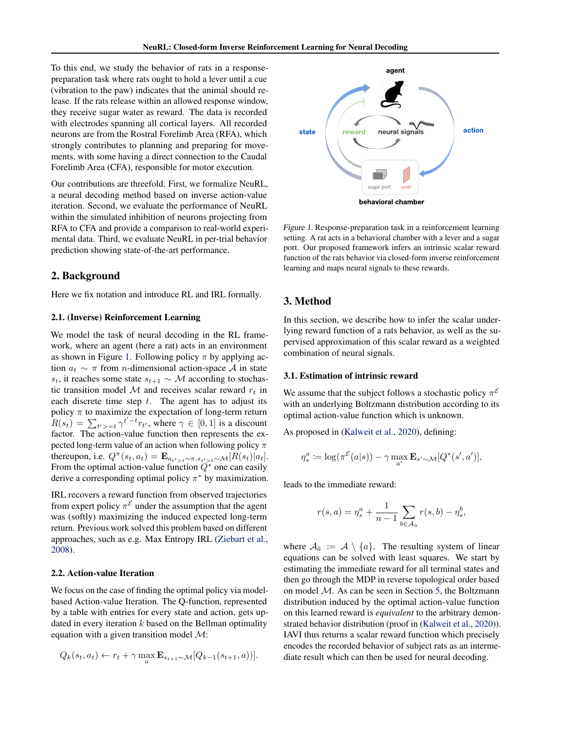<span id="page-1-0"></span>To this end, we study the behavior of rats in a responsepreparation task where rats ought to hold a lever until a cue (vibration to the paw) indicates that the animal should release. If the rats release within an allowed response window, they receive sugar water as reward. The data is recorded with electrodes spanning all cortical layers. All recorded neurons are from the Rostral Forelimb Area (RFA), which strongly contributes to planning and preparing for movements, with some having a direct connection to the Caudal Forelimb Area (CFA), responsible for motor execution.

Our contributions are threefold. First, we formalize NeuRL, a neural decoding method based on inverse action-value iteration. Second, we evaluate the performance of NeuRL within the simulated inhibition of neurons projecting from RFA to CFA and provide a comparison to real-world experimental data. Third, we evaluate NeuRL in per-trial behavior prediction showing state-of-the-art performance.

## 2. Background

Here we fix notation and introduce RL and IRL formally.

#### 2.1. (Inverse) Reinforcement Learning

We model the task of neural decoding in the RL framework, where an agent (here a rat) acts in an environment as shown in Figure 1. Following policy  $\pi$  by applying action  $a_t \sim \pi$  from *n*-dimensional action-space A in state s<sub>t</sub>, it reaches some state  $s_{t+1} \sim M$  according to stochastic transition model  $M$  and receives scalar reward  $r_t$  in each discrete time step  $t$ . The agent has to adjust its policy  $\pi$  to maximize the expectation of long-term return  $R(s_t) = \sum_{t'>=t} \gamma^{t'-t} r_{t'}$ , where  $\gamma \in [0,1]$  is a discount factor. The action-value function then represents the expected long-term value of an action when following policy  $\pi$ thereupon, i.e.  $Q^{\pi}(s_t, a_t) = \mathbf{E}_{a_{t'>t} \sim \pi, s_{t'>t} \sim \mathcal{M}}[R(s_t)|a_t].$ From the optimal action-value function  $\widetilde{Q}^*$  one can easily derive a corresponding optimal policy  $\pi^*$  by maximization.

IRL recovers a reward function from observed trajectories from expert policy  $\pi^{\mathcal{E}}$  under the assumption that the agent was (softly) maximizing the induced expected long-term return. Previous work solved this problem based on different approaches, such as e.g. Max Entropy IRL [\(Ziebart et al.,](#page-4-0) [2008\)](#page-4-0).

### 2.2. Action-value Iteration

We focus on the case of finding the optimal policy via modelbased Action-value Iteration. The Q-function, represented by a table with entries for every state and action, gets updated in every iteration  $k$  based on the Bellman optimality equation with a given transition model  $\mathcal{M}$ :

$$
Q_k(s_t, a_t) \leftarrow r_t + \gamma \max_a \mathbf{E}_{s_{t+1} \sim \mathcal{M}}[Q_{k-1}(s_{t+1}, a))].
$$



Figure 1. Response-preparation task in a reinforcement learning setting. A rat acts in a behavioral chamber with a lever and a sugar port. Our proposed framework infers an intrinsic scalar reward function of the rats behavior via closed-form inverse reinforcement learning and maps neural signals to these rewards.

# 3. Method

In this section, we describe how to infer the scalar underlying reward function of a rats behavior, as well as the supervised approximation of this scalar reward as a weighted combination of neural signals.

#### 3.1. Estimation of intrinsic reward

We assume that the subject follows a stochastic policy  $\pi^{\mathcal{E}}$ with an underlying Boltzmann distribution according to its optimal action-value function which is unknown.

As proposed in [\(Kalweit et al.,](#page-4-0) [2020\)](#page-4-0), defining:

$$
\eta_s^a := \log(\pi^{\mathcal{E}}(a|s)) - \gamma \max_{a'} \mathbf{E}_{s' \sim \mathcal{M}}[Q^*(s', a')],
$$

leads to the immediate reward:

$$
r(s, a) = \eta_s^a + \frac{1}{n-1} \sum_{b \in \mathcal{A}_a} r(s, b) - \eta_s^b,
$$

where  $A_{\bar{a}} := A \setminus \{a\}$ . The resulting system of linear equations can be solved with least squares. We start by estimating the immediate reward for all terminal states and then go through the MDP in reverse topological order based on model M. As can be seen in Section [5,](#page-3-0) the Boltzmann distribution induced by the optimal action-value function on this learned reward is *equivalent* to the arbitrary demonstrated behavior distribution (proof in [\(Kalweit et al.,](#page-4-0) [2020\)](#page-4-0)). IAVI thus returns a scalar reward function which precisely encodes the recorded behavior of subject rats as an intermediate result which can then be used for neural decoding.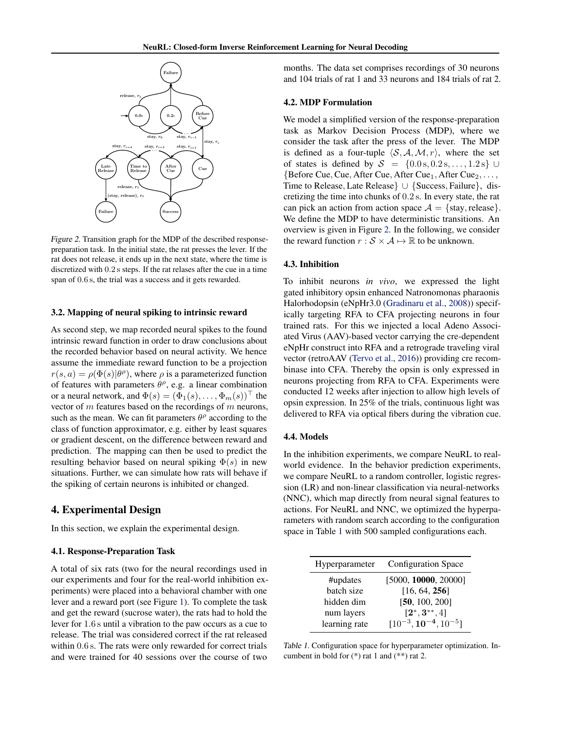<span id="page-2-0"></span>

Figure 2. Transition graph for the MDP of the described responsepreparation task. In the initial state, the rat presses the lever. If the rat does not release, it ends up in the next state, where the time is discretized with 0.2 s steps. If the rat relases after the cue in a time span of 0.6 s, the trial was a success and it gets rewarded.

#### 3.2. Mapping of neural spiking to intrinsic reward

As second step, we map recorded neural spikes to the found intrinsic reward function in order to draw conclusions about the recorded behavior based on neural activity. We hence assume the immediate reward function to be a projection  $r(s, a) = \rho(\Phi(s)|\theta^{\rho})$ , where  $\rho$  is a parameterized function of features with parameters  $\theta^{\rho}$ , e.g. a linear combination or a neural network, and  $\Phi(s) = (\Phi_1(s), \dots, \Phi_m(s))^{\top}$  the vector of  $m$  features based on the recordings of  $m$  neurons, such as the mean. We can fit parameters  $\theta^{\rho}$  according to the class of function approximator, e.g. either by least squares or gradient descent, on the difference between reward and prediction. The mapping can then be used to predict the resulting behavior based on neural spiking  $\Phi(s)$  in new situations. Further, we can simulate how rats will behave if the spiking of certain neurons is inhibited or changed.

## 4. Experimental Design

In this section, we explain the experimental design.

#### 4.1. Response-Preparation Task

A total of six rats (two for the neural recordings used in our experiments and four for the real-world inhibition experiments) were placed into a behavioral chamber with one lever and a reward port (see Figure [1\)](#page-1-0). To complete the task and get the reward (sucrose water), the rats had to hold the lever for 1.6 s until a vibration to the paw occurs as a cue to release. The trial was considered correct if the rat released within  $0.6$  s. The rats were only rewarded for correct trials and were trained for 40 sessions over the course of two months. The data set comprises recordings of 30 neurons and 104 trials of rat 1 and 33 neurons and 184 trials of rat 2.

#### 4.2. MDP Formulation

We model a simplified version of the response-preparation task as Markov Decision Process (MDP), where we consider the task after the press of the lever. The MDP is defined as a four-tuple  $\langle S, A, M, r \rangle$ , where the set of states is defined by  $S = \{0.0 \text{ s}, 0.2 \text{ s}, \dots, 1.2 \text{ s}\}\ \cup$  ${Before Cue, Cue, After Cue, After Cue<sub>1</sub>, After Cue<sub>2</sub>, ...,}$ Time to Release, Late Release} ∪ {Success, Failure}, discretizing the time into chunks of 0.2 s. In every state, the rat can pick an action from action space  $A = \{\text{stay}, \text{release}\}.$ We define the MDP to have deterministic transitions. An overview is given in Figure 2. In the following, we consider the reward function  $r : \mathcal{S} \times \mathcal{A} \mapsto \mathbb{R}$  to be unknown.

### 4.3. Inhibition

To inhibit neurons *in vivo*, we expressed the light gated inhibitory opsin enhanced Natronomonas pharaonis Halorhodopsin (eNpHr3.0 [\(Gradinaru et al.,](#page-4-0) [2008\)](#page-4-0)) specifically targeting RFA to CFA projecting neurons in four trained rats. For this we injected a local Adeno Associated Virus (AAV)-based vector carrying the cre-dependent eNpHr construct into RFA and a retrograde traveling viral vector (retroAAV [\(Tervo et al.,](#page-4-0) [2016\)](#page-4-0)) providing cre recombinase into CFA. Thereby the opsin is only expressed in neurons projecting from RFA to CFA. Experiments were conducted 12 weeks after injection to allow high levels of opsin expression. In 25% of the trials, continuous light was delivered to RFA via optical fibers during the vibration cue.

#### 4.4. Models

In the inhibition experiments, we compare NeuRL to realworld evidence. In the behavior prediction experiments, we compare NeuRL to a random controller, logistic regression (LR) and non-linear classification via neural-networks (NNC), which map directly from neural signal features to actions. For NeuRL and NNC, we optimized the hyperparameters with random search according to the configuration space in Table 1 with 500 sampled configurations each.

| Hyperparameter | <b>Configuration Space</b>    |  |  |
|----------------|-------------------------------|--|--|
| #updates       | [5000, 10000, 20000]          |  |  |
| batch size     | [16, 64, 256]                 |  |  |
| hidden dim     | [50, 100, 200]                |  |  |
| num layers     | $[2^*, 3^{**}, 4]$            |  |  |
| learning rate  | $[10^{-3}, 10^{-4}, 10^{-5}]$ |  |  |

Table 1. Configuration space for hyperparameter optimization. Incumbent in bold for (\*) rat 1 and (\*\*) rat 2.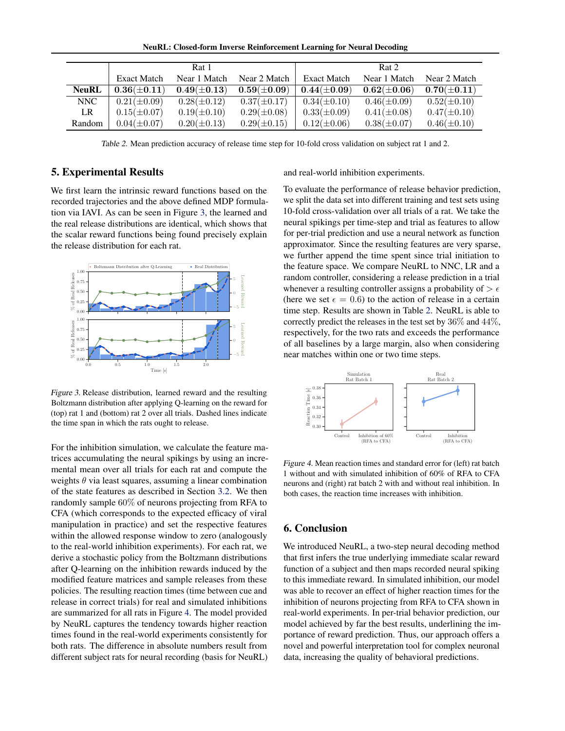NeuRL: Closed-form Inverse Reinforcement Learning for Neural Decoding

<span id="page-3-0"></span>

|              |                  | Rat 1             |                  |                    | Rat 2            |                  |
|--------------|------------------|-------------------|------------------|--------------------|------------------|------------------|
|              | Exact Match      | Near 1 Match      | Near 2 Match     | <b>Exact Match</b> | Near 1 Match     | Near 2 Match     |
| <b>NeuRL</b> | $0.36(\pm 0.11)$ | $0.49 (\pm 0.13)$ | $0.59(\pm 0.09)$ | $0.44 (\pm 0.09)$  | $0.62(\pm 0.06)$ | $0.70(\pm 0.11)$ |
| NNC          | $0.21(\pm 0.09)$ | $0.28(\pm 0.12)$  | $0.37(\pm 0.17)$ | $0.34(\pm 0.10)$   | $0.46(\pm 0.09)$ | $0.52(\pm 0.10)$ |
| LR.          | $0.15(\pm 0.07)$ | $0.19(\pm 0.10)$  | $0.29(\pm 0.08)$ | $0.33(\pm 0.09)$   | $0.41(\pm 0.08)$ | $0.47(\pm 0.10)$ |
| Random       | $0.04(\pm 0.07)$ | $0.20 (\pm 0.13)$ | $0.29(\pm 0.15)$ | $0.12(\pm 0.06)$   | $0.38(\pm 0.07)$ | $0.46(\pm 0.10)$ |

Table 2. Mean prediction accuracy of release time step for 10-fold cross validation on subject rat 1 and 2.

# 5. Experimental Results

We first learn the intrinsic reward functions based on the recorded trajectories and the above defined MDP formulation via IAVI. As can be seen in Figure 3, the learned and the real release distributions are identical, which shows that the scalar reward functions being found precisely explain the release distribution for each rat.



Figure 3. Release distribution, learned reward and the resulting Boltzmann distribution after applying Q-learning on the reward for (top) rat 1 and (bottom) rat 2 over all trials. Dashed lines indicate the time span in which the rats ought to release.

For the inhibition simulation, we calculate the feature matrices accumulating the neural spikings by using an incremental mean over all trials for each rat and compute the weights  $\theta$  via least squares, assuming a linear combination of the state features as described in Section [3.2.](#page-2-0) We then randomly sample 60% of neurons projecting from RFA to CFA (which corresponds to the expected efficacy of viral manipulation in practice) and set the respective features within the allowed response window to zero (analogously to the real-world inhibition experiments). For each rat, we derive a stochastic policy from the Boltzmann distributions after Q-learning on the inhibition rewards induced by the modified feature matrices and sample releases from these policies. The resulting reaction times (time between cue and release in correct trials) for real and simulated inhibitions are summarized for all rats in Figure 4. The model provided by NeuRL captures the tendency towards higher reaction times found in the real-world experiments consistently for both rats. The difference in absolute numbers result from different subject rats for neural recording (basis for NeuRL) and real-world inhibition experiments.

To evaluate the performance of release behavior prediction, we split the data set into different training and test sets using 10-fold cross-validation over all trials of a rat. We take the neural spikings per time-step and trial as features to allow for per-trial prediction and use a neural network as function approximator. Since the resulting features are very sparse, we further append the time spent since trial initiation to the feature space. We compare NeuRL to NNC, LR and a random controller, considering a release prediction in a trial whenever a resulting controller assigns a probability of  $> \epsilon$ (here we set  $\epsilon = 0.6$ ) to the action of release in a certain time step. Results are shown in Table 2. NeuRL is able to correctly predict the releases in the test set by 36% and 44%, respectively, for the two rats and exceeds the performance of all baselines by a large margin, also when considering near matches within one or two time steps.



Figure 4. Mean reaction times and standard error for (left) rat batch 1 without and with simulated inhibition of 60% of RFA to CFA neurons and (right) rat batch 2 with and without real inhibition. In both cases, the reaction time increases with inhibition.

# 6. Conclusion

We introduced NeuRL, a two-step neural decoding method that first infers the true underlying immediate scalar reward function of a subject and then maps recorded neural spiking to this immediate reward. In simulated inhibition, our model was able to recover an effect of higher reaction times for the inhibition of neurons projecting from RFA to CFA shown in real-world experiments. In per-trial behavior prediction, our model achieved by far the best results, underlining the importance of reward prediction. Thus, our approach offers a novel and powerful interpretation tool for complex neuronal data, increasing the quality of behavioral predictions.